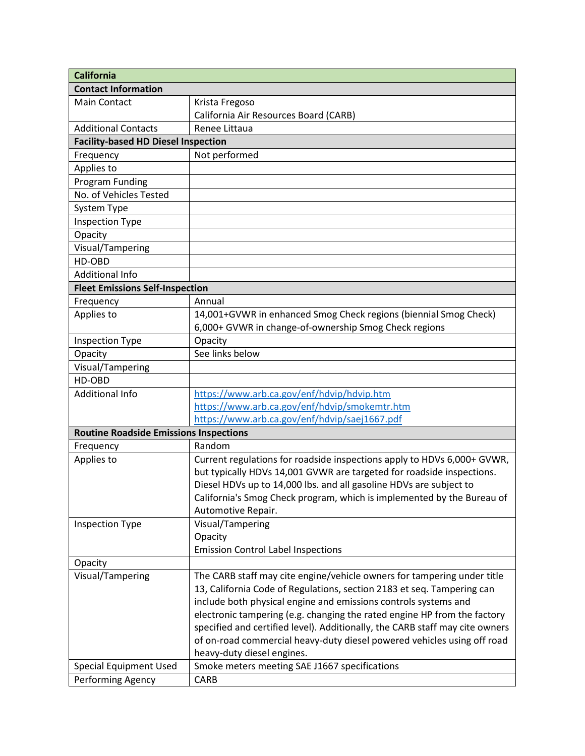| <b>California</b>                             |                                                                              |  |
|-----------------------------------------------|------------------------------------------------------------------------------|--|
| <b>Contact Information</b>                    |                                                                              |  |
| <b>Main Contact</b>                           | Krista Fregoso                                                               |  |
|                                               | California Air Resources Board (CARB)                                        |  |
| <b>Additional Contacts</b>                    | Renee Littaua                                                                |  |
| <b>Facility-based HD Diesel Inspection</b>    |                                                                              |  |
| Frequency                                     | Not performed                                                                |  |
| Applies to                                    |                                                                              |  |
| Program Funding                               |                                                                              |  |
| No. of Vehicles Tested                        |                                                                              |  |
| System Type                                   |                                                                              |  |
| <b>Inspection Type</b>                        |                                                                              |  |
| Opacity                                       |                                                                              |  |
| Visual/Tampering                              |                                                                              |  |
| HD-OBD                                        |                                                                              |  |
| <b>Additional Info</b>                        |                                                                              |  |
| <b>Fleet Emissions Self-Inspection</b>        |                                                                              |  |
| Frequency                                     | Annual                                                                       |  |
| Applies to                                    | 14,001+GVWR in enhanced Smog Check regions (biennial Smog Check)             |  |
|                                               | 6,000+ GVWR in change-of-ownership Smog Check regions                        |  |
| <b>Inspection Type</b>                        | Opacity                                                                      |  |
| Opacity                                       | See links below                                                              |  |
| Visual/Tampering                              |                                                                              |  |
| HD-OBD                                        |                                                                              |  |
| <b>Additional Info</b>                        | https://www.arb.ca.gov/enf/hdvip/hdvip.htm                                   |  |
|                                               | https://www.arb.ca.gov/enf/hdvip/smokemtr.htm                                |  |
|                                               | https://www.arb.ca.gov/enf/hdvip/saej1667.pdf                                |  |
| <b>Routine Roadside Emissions Inspections</b> |                                                                              |  |
| Frequency                                     | Random                                                                       |  |
| Applies to                                    | Current regulations for roadside inspections apply to HDVs 6,000+ GVWR,      |  |
|                                               | but typically HDVs 14,001 GVWR are targeted for roadside inspections.        |  |
|                                               | Diesel HDVs up to 14,000 lbs. and all gasoline HDVs are subject to           |  |
|                                               | California's Smog Check program, which is implemented by the Bureau of       |  |
|                                               | Automotive Repair.                                                           |  |
| <b>Inspection Type</b>                        | Visual/Tampering                                                             |  |
|                                               | Opacity                                                                      |  |
|                                               | <b>Emission Control Label Inspections</b>                                    |  |
| Opacity                                       |                                                                              |  |
| Visual/Tampering                              | The CARB staff may cite engine/vehicle owners for tampering under title      |  |
|                                               | 13, California Code of Regulations, section 2183 et seq. Tampering can       |  |
|                                               | include both physical engine and emissions controls systems and              |  |
|                                               | electronic tampering (e.g. changing the rated engine HP from the factory     |  |
|                                               | specified and certified level). Additionally, the CARB staff may cite owners |  |
|                                               | of on-road commercial heavy-duty diesel powered vehicles using off road      |  |
|                                               | heavy-duty diesel engines.                                                   |  |
| <b>Special Equipment Used</b>                 | Smoke meters meeting SAE J1667 specifications                                |  |
| Performing Agency                             | CARB                                                                         |  |